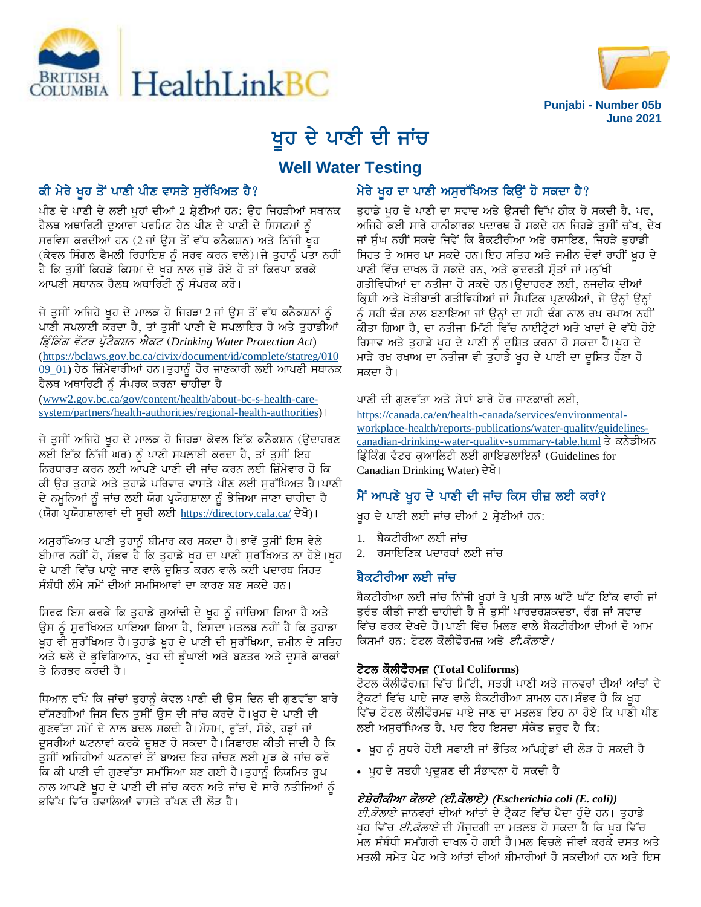



# ਖੁਹ ਦੇ ਪਾਣੀ ਦੀ ਜਾਂਚ

# **Well Water Testing**

## ਕੀ ਮੇਰੇ ਖੂਹ ਤੋਂ ਪਾਣੀ ਪੀਣ ਵਾਸਤੇ ਸੁਰੱਖਿਅਤ ਹੈ?

ਪੀਣ ਦੇ ਪਾਣੀ ਦੇ ਲਈ ਖੁਹਾਂ ਦੀਆਂ 2 ਸ਼੍ਰੇਣੀਆਂ ਹਨ: ਉਹ ਜਿਹੜੀਆਂ ਸਥਾਨਕ ਹੈਲਥ ਅਥਾਰਿਟੀ ਦਆਰਾ ਪਰਮਿਟ ਹੇਠ ਪੀਣ ਦੇ ਪਾਣੀ ਦੇ ਸਿਸਟਮਾਂ ਨੰ ਸਰਵਿਸ ਕਰਦੀਆਂ ਹਨ (2 ਜਾਂ ਉਸ ਤੋਂ ਵੱਧ ਕਨੈਕਸ਼ਨ) ਅਤੇ ਨਿੱਜੀ ਖੁਹ (ਕੇਵਲ ਸਿੰਗਲ ਫੈਮਲੀ ਰਿਹਾਇਸ਼ ਨੂੰ ਸਰਵ ਕਰਨ ਵਾਲੇ)।ਜੇ ਤੁਹਾਨੂੰ ਪਤਾ ਨਹੀਂ ਹੈ ਕਿ ਤੁਸੀਂ ਕਿਹੜੇ ਕਿਸਮ ਦੇ ਖੂਹ ਨਾਲ ਜੁੜੇ ਹੋਏ ਹੋ ਤਾਂ ਕਿਰਪਾ ਕਰਕੇ ਆਪਣੀ ਸਥਾਨਕ ਹੈਲਥ ਅਥਾਰਿਟੀ ਨੂੰ ਸੰਪਰਕ ਕਰੋ।

ਜੇ ਤੁਸੀਂ ਅਜਿਹੇ ਖੁਹ ਦੇ ਮਾਲਕ ਹੋ ਜਿਹੜਾ 2 ਜਾਂ ਉਸ ਤੋਂ ਵੱਧ ਕਨੈਕਸ਼ਨਾਂ ਨੂੰ ਪਾਣੀ ਸਪਲਾਈ ਕਰਦਾ ਹੈ, ਤਾਂ ਤੁਸੀਂ ਪਾਣੀ ਦੇ ਸਪਲਾਇਰ ਹੋ ਅਤੇ ਤੁਹਾਡੀਆਂ ਡਿੰਕਿੰਗ ਵੌਟਰ ਪੋਟੈਕਸ਼ਨ ਐਕਟ (Drinking Water Protection Act) (https://bclaws.gov.bc.ca/civix/document/id/complete/statreg/010 <u>09\_01</u>) ਹੇਠ ਜ਼ਿੰਮੇਵਾਰੀਆਂ ਹਨ।ਤੁਹਾਨੂੰ ਹੋਰ ਜਾਣਕਾਰੀ ਲਈ ਆਪਣੀ ਸਥਾਨਕ ਹੈਲਥ ਅਥਾਰਿਟੀ ਨੂੰ ਸੰਪਰਕ ਕਰਨਾ ਚਾਹੀਦਾ ਹੈ

(www2.gov.bc.ca/gov/content/health/about-bc-s-health-caresystem/partners/health-authorities/regional-health-authorities) I

ਜੇ ਤੁਸੀਂ ਅਜਿਹੇ ਖੁਹ ਦੇ ਮਾਲਕ ਹੋ ਜਿਹੜਾ ਕੇਵਲ ਇੱਕ ਕਨੈਕਸ਼ਨ (ਉਦਾਹਰਣ ਲਈ ਇੱਕ ਨਿੱਜੀ ਘਰ) ਨੂੰ ਪਾਣੀ ਸਪਲਾਈ ਕਰਦਾ ਹੈ, ਤਾਂ ਤੁਸੀਂ ਇਹ ਨਿਰਧਾਰਤ ਕਰਨ ਲਈ ਆਪਣੇ ਪਾਣੀ ਦੀ ਜਾਂਚ ਕਰਨ ਲਈ ਜ਼ਿੰਮੇਵਾਰ ਹੋ ਕਿ ਕੀ ਉਹ ਤੁਹਾਡੇ ਅਤੇ ਤੁਹਾਡੇ ਪਰਿਵਾਰ ਵਾਸਤੇ ਪੀਣ ਲਈ ਸੁਰੱਖਿਅਤ ਹੈ।ਪਾਣੀ ਦੇ ਨਮੁਨਿਆਂ ਨੂੰ ਜਾਂਚ ਲਈ ਯੋਗ ਪ੍ਰਯੋਗਸ਼ਾਲਾ ਨੂੰ ਭੇਜਿਆ ਜਾਣਾ ਚਾਹੀਦਾ ਹੈ (ਯੋਗ ਪ੍ਰਯੋਗਸ਼ਾਲਾਵਾਂ ਦੀ ਸੂਚੀ ਲਈ https://directory.cala.ca/ ਦੇਖੋ)।

ਅਸੁਰੱਖਿਅਤ ਪਾਣੀ ਤੁਹਾਨੂੰ ਬੀਮਾਰ ਕਰ ਸਕਦਾ ਹੈ।ਭਾਵੇਂ ਤੁਸੀਂ ਇਸ ਵੇਲੇ ਬੀਮਾਰ ਨਹੀਂ ਹੋ, ਸੰਭਵ ਹੈ ਕਿ ਤੁਹਾਡੇ ਖੂਹ ਦਾ ਪਾਣੀ ਸੁਰੱਖਿਅਤ ਨਾ ਹੋਏ।ਖੂਹ ਦੇ ਪਾਣੀ ਵਿੱਚ ਪਾਏੁ ਜਾਣ ਵਾਲੇ ਦੁਸ਼ਿਤ ਕਰਨ ਵਾਲੇ ਕਈ ਪਦਾਰਥ ਸਿਹਤ ਸੰਬੰਧੀ ਲੰਮੇ ਸਮੇਂ ਦੀਆਂ ਸਮਸਿਆਵਾਂ ਦਾ ਕਾਰਣ ਬਣ ਸਕਦੇ ਹਨ।

ਸਿਰਫ ਇਸ ਕਰਕੇ ਕਿ ਤੁਹਾਡੇ ਗੁਆਂਢੀ ਦੇ ਖੁਹ ਨੂੰ ਜਾਂਚਿਆ ਗਿਆ ਹੈ ਅਤੇ ਉਸ ਨੂੰ ਸੁਰੱਖਿਅਤ ਪਾਇਆ ਗਿਆ ਹੈ, ਇਸਦਾ ਮਤਲਬ ਨਹੀਂ ਹੈ ਕਿ ਤੁਹਾਡਾ ਖੁਹ ਵੀ ਸੁਰੱਖਿਅਤ ਹੈ।ਤੁਹਾਡੇ ਖੁਹ ਦੇ ਪਾਣੀ ਦੀ ਸੁਰੱਖਿਆ, ਜ਼ਮੀਨ ਦੇ ਸਤਿਹ ਅਤੇ ਥਲੇ ਦੇ ਭੁਵਿਗਿਆਨ, ਖੁਹ ਦੀ ਡੂੰਘਾਈ ਅਤੇ ਬਣਤਰ ਅਤੇ ਦੂਸਰੇ ਕਾਰਕਾਂ ਤੇ ਨਿਰਕਰ ਕਰਦੀ ਹੈ।

ਧਿਆਨ ਰੱਖੋ ਕਿ ਜਾਂਚਾਂ ਤੁਹਾਨੂੰ ਕੇਵਲ ਪਾਣੀ ਦੀ ਉਸ ਦਿਨ ਦੀ ਗੁਣਵੱਤਾ ਬਾਰੇ ਦੱਸਣਗੀਆਂ ਜਿਸ ਦਿਨ ਤੁਸੀਂ ਉਸ ਦੀ ਜਾਂਚ ਕਰਦੇ ਹੋ।ਖੂਹ ਦੇ ਪਾਣੀ ਦੀ ਗੁਣਵੱਤਾ ਸਮੇਂ ਦੇ ਨਾਲ ਬਦਲ ਸਕਦੀ ਹੈ।ਮੌਸਮ, ਰੁੱਤਾਂ, ਸੋਕੇ, ਹੜ੍ਹਾਂ ਜਾਂ ਦੁਸਰੀਆਂ ਘਟਨਾਵਾਂ ਕਰਕੇ ਦੁਸ਼ਣ ਹੋ ਸਕਦਾ ਹੈ। ਸਿਫਾਰਸ਼ ਕੀਤੀ ਜਾਦੀ ਹੈ ਕਿ ਤਸੀਂ ਅਜਿਹੀਆਂ ਘਟਨਾਵਾਂ ਤੋਂ ਬਾਅਦ ਇਹ ਜਾਂਚਣ ਲਈ ਮੜ ਕੇ ਜਾਂਚ ਕਰੋ ਕਿ ਕੀ ਪਾਣੀ ਦੀ ਗੁਣਵੱਤਾ ਸਮੱਸਿਆ ਬਣ ਗਈ ਹੈ।ਤੁਹਾਨੂੰ ਨਿਯਮਿਤ ਰੂਪ ਨਾਲ ਆਪਣੇ ਖੁਹ ਦੇ ਪਾਣੀ ਦੀ ਜਾਂਚ ਕਰਨ ਅਤੇ ਜਾਂਚ ਦੇ ਸਾਰੇ ਨਤੀਜਿਆਂ ਨੂੰ ਭਵਿੱਖ ਵਿੱਚ ਹਵਾਲਿਆਂ ਵਾਸਤੇ ਰੱਖਣ ਦੀ ਲੋੜ ਹੈ।

## ਮੇਰੇ ਖੁਹ ਦਾ ਪਾਣੀ ਅਸੁਰੱਖਿਅਤ ਕਿਉਂ ਹੋ ਸਕਦਾ ਹੈ?

ਤਹਾਡੇ ਖਹ ਦੇ ਪਾਣੀ ਦਾ ਸਵਾਦ ਅਤੇ ਉਸਦੀ ਦਿੱਖ ਠੀਕ ਹੋ ਸਕਦੀ ਹੈ, ਪਰ, ਅਜਿਹੇ ਕਈ ਸਾਰੇ ਹਾਨੀਕਾਰਕ ਪਦਾਰਥ ਹੋ ਸਕਦੇ ਹਨ ਜਿਹੜੇ ਤੁਸੀਂ ਚੱਖ, ਦੇਖ ਜਾਂ ਸੁੰਘ ਨਹੀਂ ਸਕਦੇ ਜਿਵੇਂ ਕਿ ਬੈਕਟੀਰੀਆ ਅਤੇ ਰਸਾਇਣ, ਜਿਹੜੇ ਤੁਹਾਡੀ ਸਿਹਤ ਤੇ ਅਸਰ ਪਾ ਸਕਦੇ ਹਨ।ਇਹ ਸਤਿਹ ਅਤੇ ਜਮੀਨ ਦੋਵਾਂ ਰਾਹੀਂ ਖੁਹ ਦੇ ਪਾਣੀ ਵਿੱਚ ਦਾਖਲ ਹੋ ਸਕਦੇ ਹਨ, ਅਤੇ ਕੁਦਰਤੀ ਸੋਤਾਂ ਜਾਂ ਮਨੁੱਖੀ ਗਤੀਵਿਧੀਆਂ ਦਾ ਨਤੀਜਾ ਹੋ ਸਕਦੇ ਹਨ।ਉਦਾਹਰਣ ਲਈ, ਨਜਦੀਕ ਦੀਆਂ ਕ੍ਰਿਸ਼ੀ ਅਤੇ ਖੇਤੀਬਾੜੀ ਗਤੀਵਿਧੀਆਂ ਜਾਂ ਸੈਪਟਿਕ ਪ੍ਰਣਾਲੀਆਂ, ਜੇ ਉਨ੍ਹਾਂ ਉਨ੍ਹਾਂ ਨੂੰ ਸਹੀ ਢੰਗ ਨਾਲ ਬਣਾਇਆ ਜਾਂ ਉਨ੍ਹਾਂ ਦਾ ਸਹੀ ਢੰਗ ਨਾਲ ਰਖ ਰਖਾਅ ਨਹੀਂ ਕੀਤਾ ਗਿਆ ਹੈ, ਦਾ ਨਤੀਜਾ ਮਿੱਟੀ ਵਿੱਚ ਨਾਈਟ੍ਰੇਟਾਂ ਅਤੇ ਖਾਦਾਂ ਦੇ ਵੱਧੇ ਹੋਏ ਰਿਸਾਵ ਅਤੇ ਤੁਹਾਡੇ ਖੂਹ ਦੇ ਪਾਣੀ ਨੂੰ ਦੂਸ਼ਿਤ ਕਰਨਾ ਹੋ ਸਕਦਾ ਹੈ।ਖੂਹ ਦੇ ਮਾੜੇ ਰਖ ਰਖਾਅ ਦਾ ਨਤੀਜਾ ਵੀ ਤੁਹਾਡੇ ਖੁਹ ਦੇ ਪਾਣੀ ਦਾ ਦੁਸ਼ਿਤ ਹੋਣਾ ਹੋ ਸਕਦਾ ਹੈ।

#### ਪਾਣੀ ਦੀ ਗਣਵੱਤਾ ਅਤੇ ਸੇਧਾਂ ਬਾਰੇ ਹੋਰ ਜਾਣਕਾਰੀ ਲਈ,

https://canada.ca/en/health-canada/services/environmentalworkplace-health/reports-publications/water-quality/guidelinescanadian-drinking-water-quality-summary-table.html ਤੇ ਕਨੇਡੀਅਨ ਡਿੰਕਿੰਗ ਵੌਟਰ ਕਆਲਿਟੀ ਲਈ ਗਾਇਡਲਾਇਨਾਂ (Guidelines for Canadian Drinking Water) ਦੇਖੋ।

## ਮੈਂ ਆਪਣੇ ਖੂਹ ਦੇ ਪਾਣੀ ਦੀ ਜਾਂਚ ਕਿਸ ਚੀਜ਼ ਲਈ ਕਰਾਂ?

ਖ਼ਹ ਦੇ ਪਾਣੀ ਲਈ ਜਾਂਚ ਦੀਆਂ 2 ਸ਼੍ਰੇਣੀਆਂ ਹਨ:

- 1. ਬੈਕਟੀਰੀਆ ਲਈ ਜਾਂਚ
- ਰਸਾਇਣਿਕ ਪਦਾਰਥਾਂ ਲਈ ਜਾਂਚ 2.

## ਬੈਕਟੀਰੀਆ ਲਈ ਜਾਂਚ

ਬੈਕਟੀਰੀਆ ਲਈ ਜਾਂਚ ਨਿੱਜੀ ਖੁਹਾਂ ਤੇ ਪ੍ਰਤੀ ਸਾਲ ਘੱਟੋ ਘੱਟ ਇੱਕ ਵਾਰੀ ਜਾਂ ਤਰੰਤ ਕੀਤੀ ਜਾਣੀ ਚਾਹੀਦੀ ਹੈ ਜੇ ਤਸੀਂ ਪਾਰਦਰਸ਼ਕਦਤਾ, ਰੰਗ ਜਾਂ ਸਵਾਦ ਵਿੱਚ ਫਰਕ ਦੇਖਦੇ ਹੋ।ਪਾਣੀ ਵਿੱਚ ਮਿਲਣ ਵਾਲੇ ਬੈਕਟੀਰੀਆ ਦੀਆਂ ਦੋ ਆਮ ਕਿਸਮਾਂ ਹਨ: ਟੋਟਲ ਕੌਲੀਫੌਰਮਜ਼ ਅਤੇ *ਈ.ਕੋਲਾਏ।* 

#### ਟੋਟਲ ਕੌਲੀਫੌਰਮਜ਼ (Total Coliforms)

ਟੋਟਲ ਕੌਲੀਫੌਰਮਜ਼ ਵਿੱਚ ਮਿੱਟੀ, ਸਤਹੀ ਪਾਣੀ ਅਤੇ ਜਾਨਵਰਾਂ ਦੀਆਂ ਆਂਤਾਂ ਦੇ ਟ੍ਰੈਕਟਾਂ ਵਿੱਚ ਪਾਏ ਜਾਣ ਵਾਲੇ ਬੈਕਟੀਰੀਆ ਸ਼ਾਮਲ ਹਨ।ਸੰਭਵ ਹੈ ਕਿ ਖੁਹ ਵਿੱਚ ਟੋਟਲ ਕੌਲੀਫੌਰਮਜ਼ ਪਾਏ ਜਾਣ ਦਾ ਮਤਲਬ ਇਹ ਨਾ ਹੋਏ ਕਿ ਪਾਣੀ ਪੀਣ ਲਈ ਅਸੁਰੱਖਿਅਤ ਹੈ, ਪਰ ਇਹ ਇਸਦਾ ਸੰਕੇਤ ਜ਼ਰੂਰ ਹੈ ਕਿ:

- ਖੂਹ ਨੂੰ ਸੁਧਰੇ ਹੋਈ ਸਫਾਈ ਜਾਂ ਭੌਤਿਕ ਅੱਪਗ੍ਰੇਡਾਂ ਦੀ ਲੋੜ ਹੋ ਸਕਦੀ ਹੈ
- ਖੂਹ ਦੇ ਸਤਹੀ ਪ੍ਰਦੂਸ਼ਣ ਦੀ ਸੰਭਾਵਨਾ ਹੋ ਸਕਦੀ ਹੈ

## ਏਸ਼ੇਰੀਕੀਆ ਕੋਲਾਏ (ਈ.ਕੋਲਾਏ) (Escherichia coli (E. coli))

*ਈ.ਕੋਲਾਏ* ਜਾਨਵਰਾਂ ਦੀਆਂ ਆਂਤਾਂ ਦੇ ਟ੍ਰੈਕਟ ਵਿੱਚ ਪੈਦਾ ਹੁੰਦੇ ਹਨ। ਤੁਹਾਡੇ ਖੁਹ ਵਿੱਚ *ਈ.ਕੋਲਾਏ* ਦੀ ਮੌਜੁਦਗੀ ਦਾ ਮਤਲਬ ਹੋ ਸਕਦਾ ਹੈ ਕਿ ਖੂਹ ਵਿੱਚ ਮਲ ਸੰਬੰਧੀ ਸਮੱਗਰੀ ਦਾਖਲ ਹੋ ਗਈ ਹੈ।ਮਲ ਵਿਚਲੇ ਜੀਵਾਂ ਕਰਕੇ ਦਸਤ ਅਤੇ ਮਤਲੀ ਸਮੇਤ ਪੇਟ ਅਤੇ ਆਂਤਾਂ ਦੀਆਂ ਬੀਮਾਰੀਆਂ ਹੋ ਸਕਦੀਆਂ ਹਨ ਅਤੇ ਇਸ